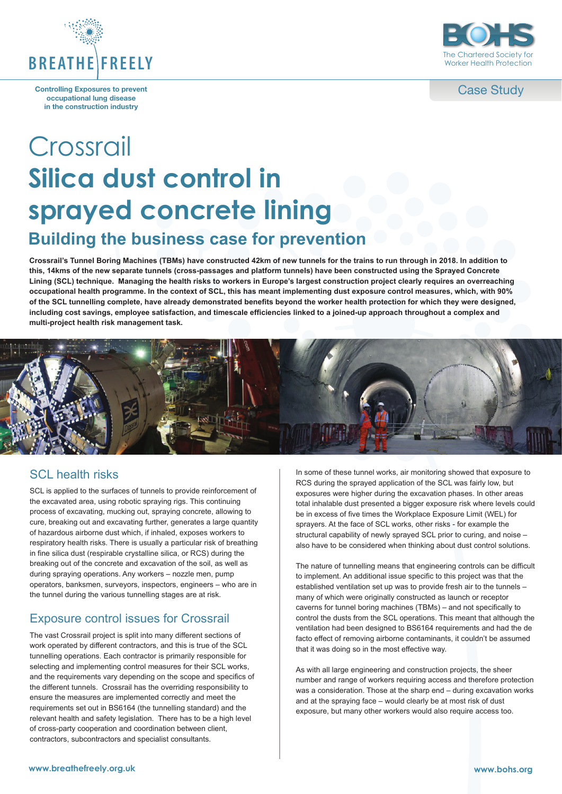

**Controlling Exposures to prevent occupational lung disease in the construction industry**



Case Study

# Crossrail **Silica dust control in sprayed concrete lining Building the business case for prevention**

**Crossrail's Tunnel Boring Machines (TBMs) have constructed 42km of new tunnels for the trains to run through in 2018. In addition to this, 14kms of the new separate tunnels (cross-passages and platform tunnels) have been constructed using the Sprayed Concrete Lining (SCL) technique. Managing the health risks to workers in Europe's largest construction project clearly requires an overreaching occupational health programme. In the context of SCL, this has meant implementing dust exposure control measures, which, with 90% of the SCL tunnelling complete, have already demonstrated benefits beyond the worker health protection for which they were designed, including cost savings, employee satisfaction, and timescale efficiencies linked to a joined-up approach throughout a complex and multi-project health risk management task.**



## SCL health risks

SCL is applied to the surfaces of tunnels to provide reinforcement of the excavated area, using robotic spraying rigs. This continuing process of excavating, mucking out, spraying concrete, allowing to cure, breaking out and excavating further, generates a large quantity of hazardous airborne dust which, if inhaled, exposes workers to respiratory health risks. There is usually a particular risk of breathing in fine silica dust (respirable crystalline silica, or RCS) during the breaking out of the concrete and excavation of the soil, as well as during spraying operations. Any workers – nozzle men, pump operators, banksmen, surveyors, inspectors, engineers – who are in the tunnel during the various tunnelling stages are at risk.

# Exposure control issues for Crossrail

The vast Crossrail project is split into many different sections of work operated by different contractors, and this is true of the SCL tunnelling operations. Each contractor is primarily responsible for selecting and implementing control measures for their SCL works, and the requirements vary depending on the scope and specifics of the different tunnels. Crossrail has the overriding responsibility to ensure the measures are implemented correctly and meet the requirements set out in BS6164 (the tunnelling standard) and the relevant health and safety legislation. There has to be a high level of cross-party cooperation and coordination between client, contractors, subcontractors and specialist consultants.

In some of these tunnel works, air monitoring showed that exposure to RCS during the sprayed application of the SCL was fairly low, but exposures were higher during the excavation phases. In other areas total inhalable dust presented a bigger exposure risk where levels could be in excess of five times the Workplace Exposure Limit (WEL) for sprayers. At the face of SCL works, other risks - for example the structural capability of newly sprayed SCL prior to curing, and noise – also have to be considered when thinking about dust control solutions.

The nature of tunnelling means that engineering controls can be difficult to implement. An additional issue specific to this project was that the established ventilation set up was to provide fresh air to the tunnels – many of which were originally constructed as launch or receptor caverns for tunnel boring machines (TBMs) – and not specifically to control the dusts from the SCL operations. This meant that although the ventilation had been designed to BS6164 requirements and had the de facto effect of removing airborne contaminants, it couldn't be assumed that it was doing so in the most effective way.

As with all large engineering and construction projects, the sheer number and range of workers requiring access and therefore protection was a consideration. Those at the sharp end – during excavation works and at the spraying face – would clearly be at most risk of dust exposure, but many other workers would also require access too.